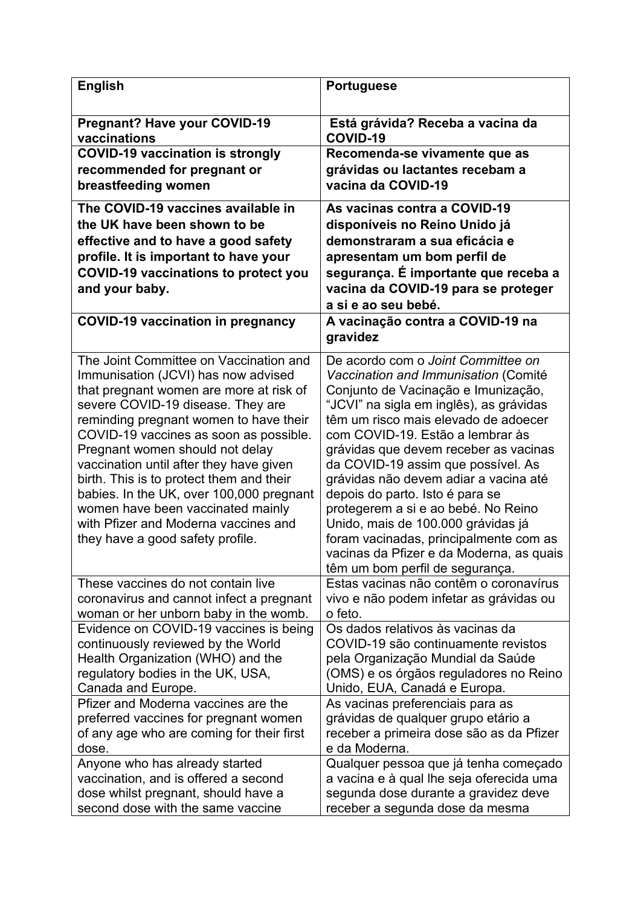| <b>English</b>                                                                                                                                                                                                                                                                                                                                                                                                                                                                                                                           | <b>Portuguese</b>                                                                                                                                                                                                                                                                                                                                                                                                                                                                                                                                                                                         |
|------------------------------------------------------------------------------------------------------------------------------------------------------------------------------------------------------------------------------------------------------------------------------------------------------------------------------------------------------------------------------------------------------------------------------------------------------------------------------------------------------------------------------------------|-----------------------------------------------------------------------------------------------------------------------------------------------------------------------------------------------------------------------------------------------------------------------------------------------------------------------------------------------------------------------------------------------------------------------------------------------------------------------------------------------------------------------------------------------------------------------------------------------------------|
| <b>Pregnant? Have your COVID-19</b><br>vaccinations                                                                                                                                                                                                                                                                                                                                                                                                                                                                                      | Está grávida? Receba a vacina da<br>COVID-19                                                                                                                                                                                                                                                                                                                                                                                                                                                                                                                                                              |
| <b>COVID-19 vaccination is strongly</b>                                                                                                                                                                                                                                                                                                                                                                                                                                                                                                  | Recomenda-se vivamente que as                                                                                                                                                                                                                                                                                                                                                                                                                                                                                                                                                                             |
| recommended for pregnant or                                                                                                                                                                                                                                                                                                                                                                                                                                                                                                              | grávidas ou lactantes recebam a                                                                                                                                                                                                                                                                                                                                                                                                                                                                                                                                                                           |
| breastfeeding women                                                                                                                                                                                                                                                                                                                                                                                                                                                                                                                      | vacina da COVID-19                                                                                                                                                                                                                                                                                                                                                                                                                                                                                                                                                                                        |
| The COVID-19 vaccines available in                                                                                                                                                                                                                                                                                                                                                                                                                                                                                                       | As vacinas contra a COVID-19                                                                                                                                                                                                                                                                                                                                                                                                                                                                                                                                                                              |
| the UK have been shown to be                                                                                                                                                                                                                                                                                                                                                                                                                                                                                                             | disponíveis no Reino Unido já                                                                                                                                                                                                                                                                                                                                                                                                                                                                                                                                                                             |
| effective and to have a good safety                                                                                                                                                                                                                                                                                                                                                                                                                                                                                                      | demonstraram a sua eficácia e                                                                                                                                                                                                                                                                                                                                                                                                                                                                                                                                                                             |
| profile. It is important to have your                                                                                                                                                                                                                                                                                                                                                                                                                                                                                                    | apresentam um bom perfil de                                                                                                                                                                                                                                                                                                                                                                                                                                                                                                                                                                               |
| <b>COVID-19 vaccinations to protect you</b>                                                                                                                                                                                                                                                                                                                                                                                                                                                                                              | segurança. É importante que receba a                                                                                                                                                                                                                                                                                                                                                                                                                                                                                                                                                                      |
| and your baby.                                                                                                                                                                                                                                                                                                                                                                                                                                                                                                                           | vacina da COVID-19 para se proteger                                                                                                                                                                                                                                                                                                                                                                                                                                                                                                                                                                       |
|                                                                                                                                                                                                                                                                                                                                                                                                                                                                                                                                          | a si e ao seu bebé.                                                                                                                                                                                                                                                                                                                                                                                                                                                                                                                                                                                       |
| <b>COVID-19 vaccination in pregnancy</b>                                                                                                                                                                                                                                                                                                                                                                                                                                                                                                 | A vacinação contra a COVID-19 na<br>gravidez                                                                                                                                                                                                                                                                                                                                                                                                                                                                                                                                                              |
| The Joint Committee on Vaccination and<br>Immunisation (JCVI) has now advised<br>that pregnant women are more at risk of<br>severe COVID-19 disease. They are<br>reminding pregnant women to have their<br>COVID-19 vaccines as soon as possible.<br>Pregnant women should not delay<br>vaccination until after they have given<br>birth. This is to protect them and their<br>babies. In the UK, over 100,000 pregnant<br>women have been vaccinated mainly<br>with Pfizer and Moderna vaccines and<br>they have a good safety profile. | De acordo com o Joint Committee on<br>Vaccination and Immunisation (Comité<br>Conjunto de Vacinação e Imunização,<br>"JCVI" na sigla em inglês), as grávidas<br>têm um risco mais elevado de adoecer<br>com COVID-19. Estão a lembrar às<br>grávidas que devem receber as vacinas<br>da COVID-19 assim que possível. As<br>grávidas não devem adiar a vacina até<br>depois do parto. Isto é para se<br>protegerem a si e ao bebé. No Reino<br>Unido, mais de 100.000 grávidas já<br>foram vacinadas, principalmente com as<br>vacinas da Pfizer e da Moderna, as quais<br>têm um bom perfil de segurança. |
| These vaccines do not contain live<br>coronavirus and cannot infect a pregnant                                                                                                                                                                                                                                                                                                                                                                                                                                                           | Estas vacinas não contêm o coronavírus<br>vivo e não podem infetar as grávidas ou                                                                                                                                                                                                                                                                                                                                                                                                                                                                                                                         |
| woman or her unborn baby in the womb.                                                                                                                                                                                                                                                                                                                                                                                                                                                                                                    | o feto.                                                                                                                                                                                                                                                                                                                                                                                                                                                                                                                                                                                                   |
| Evidence on COVID-19 vaccines is being<br>continuously reviewed by the World                                                                                                                                                                                                                                                                                                                                                                                                                                                             | Os dados relativos às vacinas da<br>COVID-19 são continuamente revistos                                                                                                                                                                                                                                                                                                                                                                                                                                                                                                                                   |
| Health Organization (WHO) and the                                                                                                                                                                                                                                                                                                                                                                                                                                                                                                        | pela Organização Mundial da Saúde                                                                                                                                                                                                                                                                                                                                                                                                                                                                                                                                                                         |
| regulatory bodies in the UK, USA,                                                                                                                                                                                                                                                                                                                                                                                                                                                                                                        | (OMS) e os órgãos reguladores no Reino                                                                                                                                                                                                                                                                                                                                                                                                                                                                                                                                                                    |
| Canada and Europe.                                                                                                                                                                                                                                                                                                                                                                                                                                                                                                                       | Unido, EUA, Canadá e Europa.                                                                                                                                                                                                                                                                                                                                                                                                                                                                                                                                                                              |
| Pfizer and Moderna vaccines are the                                                                                                                                                                                                                                                                                                                                                                                                                                                                                                      | As vacinas preferenciais para as                                                                                                                                                                                                                                                                                                                                                                                                                                                                                                                                                                          |
| preferred vaccines for pregnant women                                                                                                                                                                                                                                                                                                                                                                                                                                                                                                    | grávidas de qualquer grupo etário a                                                                                                                                                                                                                                                                                                                                                                                                                                                                                                                                                                       |
| of any age who are coming for their first                                                                                                                                                                                                                                                                                                                                                                                                                                                                                                | receber a primeira dose são as da Pfizer                                                                                                                                                                                                                                                                                                                                                                                                                                                                                                                                                                  |
| dose.                                                                                                                                                                                                                                                                                                                                                                                                                                                                                                                                    | e da Moderna.                                                                                                                                                                                                                                                                                                                                                                                                                                                                                                                                                                                             |
| Anyone who has already started                                                                                                                                                                                                                                                                                                                                                                                                                                                                                                           | Qualquer pessoa que já tenha começado                                                                                                                                                                                                                                                                                                                                                                                                                                                                                                                                                                     |
| vaccination, and is offered a second                                                                                                                                                                                                                                                                                                                                                                                                                                                                                                     | a vacina e à qual lhe seja oferecida uma                                                                                                                                                                                                                                                                                                                                                                                                                                                                                                                                                                  |
| dose whilst pregnant, should have a                                                                                                                                                                                                                                                                                                                                                                                                                                                                                                      | segunda dose durante a gravidez deve                                                                                                                                                                                                                                                                                                                                                                                                                                                                                                                                                                      |
| second dose with the same vaccine                                                                                                                                                                                                                                                                                                                                                                                                                                                                                                        | receber a segunda dose da mesma                                                                                                                                                                                                                                                                                                                                                                                                                                                                                                                                                                           |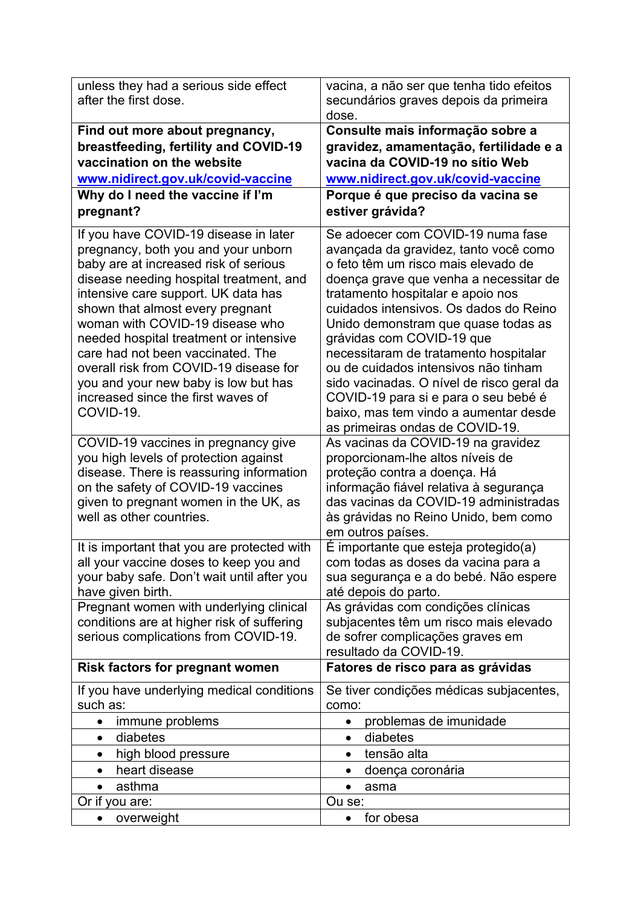| unless they had a serious side effect                                                | vacina, a não ser que tenha tido efeitos                                     |
|--------------------------------------------------------------------------------------|------------------------------------------------------------------------------|
| after the first dose.                                                                | secundários graves depois da primeira                                        |
|                                                                                      | dose.                                                                        |
| Find out more about pregnancy,                                                       | Consulte mais informação sobre a                                             |
| breastfeeding, fertility and COVID-19                                                | gravidez, amamentação, fertilidade e a                                       |
| vaccination on the website                                                           | vacina da COVID-19 no sítio Web                                              |
| www.nidirect.gov.uk/covid-vaccine                                                    | www.nidirect.gov.uk/covid-vaccine                                            |
| Why do I need the vaccine if I'm                                                     | Porque é que preciso da vacina se                                            |
| pregnant?                                                                            | estiver grávida?                                                             |
| If you have COVID-19 disease in later                                                | Se adoecer com COVID-19 numa fase                                            |
| pregnancy, both you and your unborn                                                  | avançada da gravidez, tanto você como                                        |
| baby are at increased risk of serious                                                | o feto têm um risco mais elevado de                                          |
| disease needing hospital treatment, and                                              | doença grave que venha a necessitar de                                       |
| intensive care support. UK data has<br>shown that almost every pregnant              | tratamento hospitalar e apoio nos<br>cuidados intensivos. Os dados do Reino  |
| woman with COVID-19 disease who                                                      | Unido demonstram que quase todas as                                          |
| needed hospital treatment or intensive                                               | grávidas com COVID-19 que                                                    |
| care had not been vaccinated. The                                                    | necessitaram de tratamento hospitalar                                        |
| overall risk from COVID-19 disease for                                               | ou de cuidados intensivos não tinham                                         |
| you and your new baby is low but has                                                 | sido vacinadas. O nível de risco geral da                                    |
| increased since the first waves of                                                   | COVID-19 para si e para o seu bebé é                                         |
| COVID-19.                                                                            | baixo, mas tem vindo a aumentar desde                                        |
| COVID-19 vaccines in pregnancy give                                                  | as primeiras ondas de COVID-19.<br>As vacinas da COVID-19 na gravidez        |
| you high levels of protection against                                                | proporcionam-lhe altos níveis de                                             |
| disease. There is reassuring information                                             | proteção contra a doença. Há                                                 |
| on the safety of COVID-19 vaccines                                                   | informação fiável relativa à segurança                                       |
| given to pregnant women in the UK, as                                                | das vacinas da COVID-19 administradas                                        |
| well as other countries.                                                             | às grávidas no Reino Unido, bem como                                         |
|                                                                                      | em outros países.                                                            |
| It is important that you are protected with                                          | É importante que esteja protegido(a)                                         |
| all your vaccine doses to keep you and<br>your baby safe. Don't wait until after you | com todas as doses da vacina para a<br>sua segurança e a do bebé. Não espere |
| have given birth.                                                                    | até depois do parto.                                                         |
| Pregnant women with underlying clinical                                              | As grávidas com condições clínicas                                           |
| conditions are at higher risk of suffering                                           | subjacentes têm um risco mais elevado                                        |
| serious complications from COVID-19.                                                 | de sofrer complicações graves em                                             |
|                                                                                      | resultado da COVID-19.                                                       |
| <b>Risk factors for pregnant women</b>                                               | Fatores de risco para as grávidas                                            |
| If you have underlying medical conditions                                            | Se tiver condições médicas subjacentes,                                      |
| such as:                                                                             | como:                                                                        |
| immune problems<br>$\bullet$                                                         | problemas de imunidade<br>$\bullet$                                          |
| diabetes<br>$\bullet$                                                                | diabetes<br>$\bullet$                                                        |
| high blood pressure<br>$\bullet$                                                     | tensão alta<br>$\bullet$                                                     |
| heart disease<br>$\bullet$                                                           | doença coronária<br>$\bullet$                                                |
| asthma<br>$\bullet$                                                                  | $\bullet$<br>asma                                                            |
| Or if you are:                                                                       | Ou se:<br>for obesa                                                          |
| overweight                                                                           |                                                                              |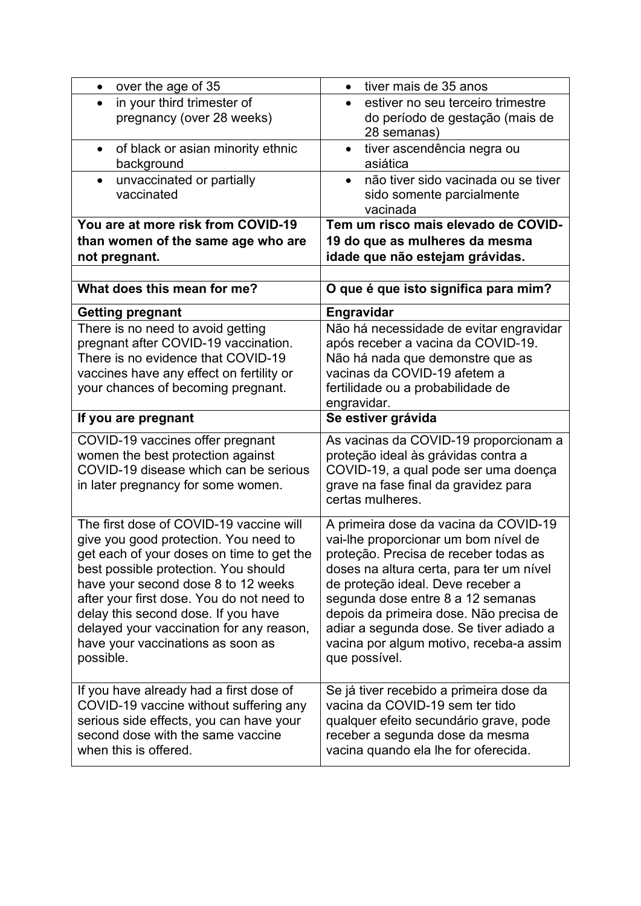| over the age of 35                                                                | tiver mais de 35 anos                                                         |
|-----------------------------------------------------------------------------------|-------------------------------------------------------------------------------|
| in your third trimester of<br>$\bullet$                                           | estiver no seu terceiro trimestre<br>$\bullet$                                |
| pregnancy (over 28 weeks)                                                         | do período de gestação (mais de                                               |
|                                                                                   | 28 semanas)                                                                   |
| of black or asian minority ethnic<br>$\bullet$                                    | tiver ascendência negra ou<br>$\bullet$                                       |
| background                                                                        | asiática                                                                      |
| unvaccinated or partially<br>$\bullet$                                            | não tiver sido vacinada ou se tiver<br>$\bullet$                              |
| vaccinated                                                                        | sido somente parcialmente<br>vacinada                                         |
| You are at more risk from COVID-19                                                | Tem um risco mais elevado de COVID-                                           |
| than women of the same age who are                                                | 19 do que as mulheres da mesma                                                |
| not pregnant.                                                                     | idade que não estejam grávidas.                                               |
|                                                                                   |                                                                               |
| What does this mean for me?                                                       | O que é que isto significa para mim?                                          |
|                                                                                   | Engravidar                                                                    |
| <b>Getting pregnant</b><br>There is no need to avoid getting                      | Não há necessidade de evitar engravidar                                       |
| pregnant after COVID-19 vaccination.                                              | após receber a vacina da COVID-19.                                            |
| There is no evidence that COVID-19                                                | Não há nada que demonstre que as                                              |
| vaccines have any effect on fertility or                                          | vacinas da COVID-19 afetem a                                                  |
| your chances of becoming pregnant.                                                | fertilidade ou a probabilidade de                                             |
|                                                                                   | engravidar.                                                                   |
| If you are pregnant                                                               | Se estiver grávida                                                            |
| COVID-19 vaccines offer pregnant                                                  | As vacinas da COVID-19 proporcionam a                                         |
| women the best protection against                                                 | proteção ideal às grávidas contra a                                           |
| COVID-19 disease which can be serious                                             | COVID-19, a qual pode ser uma doença                                          |
| in later pregnancy for some women.                                                | grave na fase final da gravidez para<br>certas mulheres.                      |
|                                                                                   |                                                                               |
| The first dose of COVID-19 vaccine will                                           | A primeira dose da vacina da COVID-19                                         |
| give you good protection. You need to                                             | vai-lhe proporcionar um bom nível de                                          |
| get each of your doses on time to get the                                         | proteção. Precisa de receber todas as                                         |
| best possible protection. You should<br>have your second dose 8 to 12 weeks       | doses na altura certa, para ter um nível<br>de proteção ideal. Deve receber a |
| after your first dose. You do not need to                                         | segunda dose entre 8 a 12 semanas                                             |
| delay this second dose. If you have                                               | depois da primeira dose. Não precisa de                                       |
| delayed your vaccination for any reason,                                          | adiar a segunda dose. Se tiver adiado a                                       |
| have your vaccinations as soon as                                                 | vacina por algum motivo, receba-a assim                                       |
| possible.                                                                         | que possível.                                                                 |
|                                                                                   |                                                                               |
| If you have already had a first dose of                                           | Se já tiver recebido a primeira dose da                                       |
| COVID-19 vaccine without suffering any<br>serious side effects, you can have your | vacina da COVID-19 sem ter tido<br>qualquer efeito secundário grave, pode     |
| second dose with the same vaccine                                                 | receber a segunda dose da mesma                                               |
| when this is offered.                                                             | vacina quando ela lhe for oferecida.                                          |
|                                                                                   |                                                                               |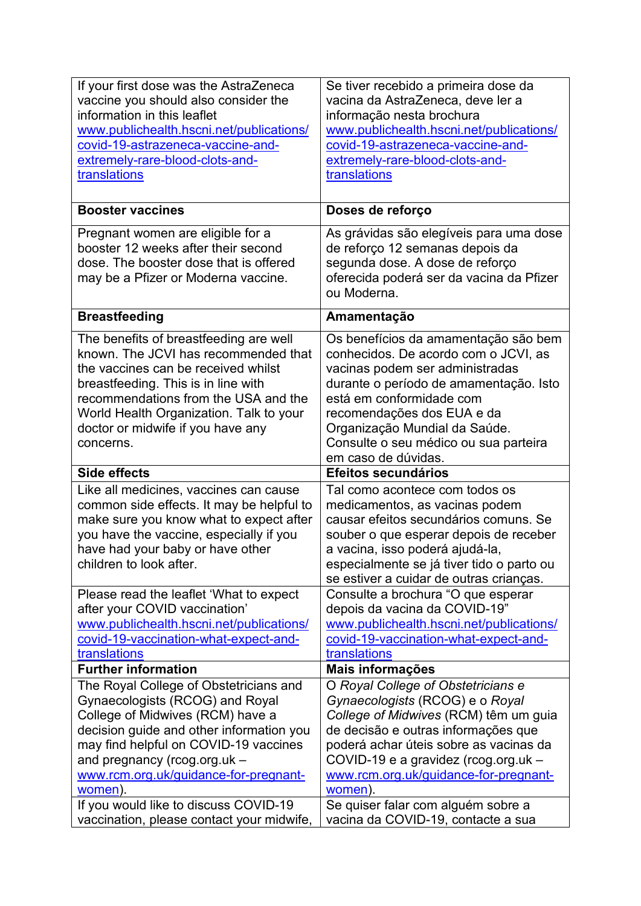| If your first dose was the AstraZeneca<br>vaccine you should also consider the<br>information in this leaflet<br>www.publichealth.hscni.net/publications/<br>covid-19-astrazeneca-vaccine-and-                                                                                                                                  | Se tiver recebido a primeira dose da<br>vacina da AstraZeneca, deve ler a<br>informação nesta brochura<br>www.publichealth.hscni.net/publications/<br>covid-19-astrazeneca-vaccine-and-                                                                                                                              |
|---------------------------------------------------------------------------------------------------------------------------------------------------------------------------------------------------------------------------------------------------------------------------------------------------------------------------------|----------------------------------------------------------------------------------------------------------------------------------------------------------------------------------------------------------------------------------------------------------------------------------------------------------------------|
| extremely-rare-blood-clots-and-<br>translations                                                                                                                                                                                                                                                                                 | extremely-rare-blood-clots-and-<br>translations                                                                                                                                                                                                                                                                      |
| <b>Booster vaccines</b>                                                                                                                                                                                                                                                                                                         | Doses de reforço                                                                                                                                                                                                                                                                                                     |
| Pregnant women are eligible for a<br>booster 12 weeks after their second<br>dose. The booster dose that is offered<br>may be a Pfizer or Moderna vaccine.                                                                                                                                                                       | As grávidas são elegíveis para uma dose<br>de reforço 12 semanas depois da<br>segunda dose. A dose de reforço<br>oferecida poderá ser da vacina da Pfizer<br>ou Moderna.                                                                                                                                             |
| <b>Breastfeeding</b>                                                                                                                                                                                                                                                                                                            | Amamentação                                                                                                                                                                                                                                                                                                          |
| The benefits of breastfeeding are well<br>known. The JCVI has recommended that<br>the vaccines can be received whilst<br>breastfeeding. This is in line with<br>recommendations from the USA and the<br>World Health Organization. Talk to your<br>doctor or midwife if you have any<br>concerns.                               | Os benefícios da amamentação são bem<br>conhecidos. De acordo com o JCVI, as<br>vacinas podem ser administradas<br>durante o período de amamentação. Isto<br>está em conformidade com<br>recomendações dos EUA e da<br>Organização Mundial da Saúde.<br>Consulte o seu médico ou sua parteira<br>em caso de dúvidas. |
| <b>Side effects</b>                                                                                                                                                                                                                                                                                                             | Efeitos secundários                                                                                                                                                                                                                                                                                                  |
| Like all medicines, vaccines can cause<br>common side effects. It may be helpful to<br>make sure you know what to expect after<br>you have the vaccine, especially if you<br>have had your baby or have other<br>children to look after.                                                                                        | Tal como acontece com todos os<br>medicamentos, as vacinas podem<br>causar efeitos secundários comuns. Se<br>souber o que esperar depois de receber<br>a vacina, isso poderá ajudá-la,<br>especialmente se já tiver tido o parto ou<br>se estiver a cuidar de outras crianças.                                       |
| Please read the leaflet 'What to expect<br>after your COVID vaccination'<br>www.publichealth.hscni.net/publications/<br>covid-19-vaccination-what-expect-and-<br>translations                                                                                                                                                   | Consulte a brochura "O que esperar<br>depois da vacina da COVID-19"<br>www.publichealth.hscni.net/publications/<br>covid-19-vaccination-what-expect-and-<br>translations                                                                                                                                             |
| <b>Further information</b>                                                                                                                                                                                                                                                                                                      | Mais informações                                                                                                                                                                                                                                                                                                     |
| The Royal College of Obstetricians and<br>Gynaecologists (RCOG) and Royal<br>College of Midwives (RCM) have a<br>decision guide and other information you<br>may find helpful on COVID-19 vaccines<br>and pregnancy (rcog.org.uk -<br>www.rcm.org.uk/guidance-for-pregnant-<br>women).<br>If you would like to discuss COVID-19 | O Royal College of Obstetricians e<br>Gynaecologists (RCOG) e o Royal<br>College of Midwives (RCM) têm um guia<br>de decisão e outras informações que<br>poderá achar úteis sobre as vacinas da<br>COVID-19 e a gravidez (rcog.org.uk -<br>www.rcm.org.uk/guidance-for-pregnant-<br>women).                          |
|                                                                                                                                                                                                                                                                                                                                 | Se quiser falar com alguém sobre a                                                                                                                                                                                                                                                                                   |